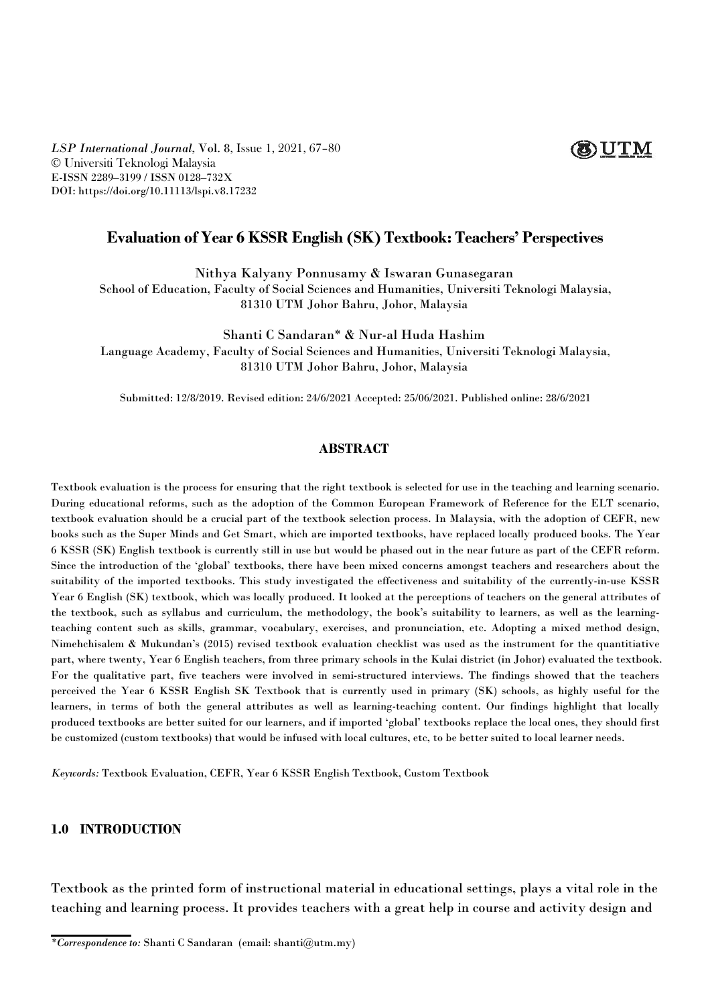# **OUTM**

*LSP International Journal,* Vol. 8, Issue 1, 2021, 67–80 © Universiti Teknologi Malaysia E-ISSN 2289–3199 / ISSN 0128–732X DOI: https://doi.org/10.11113/lspi.v8.17232

## **Evaluation of Year 6 KSSR English (SK) Textbook: Teachers' Perspectives**

Nithya Kalyany Ponnusamy & Iswaran Gunasegaran

School of Education, Faculty of Social Sciences and Humanities, Universiti Teknologi Malaysia, 81310 UTM Johor Bahru, Johor, Malaysia

Shanti C Sandaran\* & Nur-al Huda Hashim

Language Academy, Faculty of Social Sciences and Humanities, Universiti Teknologi Malaysia, 81310 UTM Johor Bahru, Johor, Malaysia

Submitted: 12/8/2019. Revised edition: 24/6/2021 Accepted: 25/06/2021. Published online: 28/6/2021

## **ABSTRACT**

Textbook evaluation is the process for ensuring that the right textbook is selected for use in the teaching and learning scenario. During educational reforms, such as the adoption of the Common European Framework of Reference for the ELT scenario, textbook evaluation should be a crucial part of the textbook selection process. In Malaysia, with the adoption of CEFR, new books such as the Super Minds and Get Smart, which are imported textbooks, have replaced locally produced books. The Year 6 KSSR (SK) English textbook is currently still in use but would be phased out in the near future as part of the CEFR reform. Since the introduction of the 'global' textbooks, there have been mixed concerns amongst teachers and researchers about the suitability of the imported textbooks. This study investigated the effectiveness and suitability of the currently-in-use KSSR Year 6 English (SK) textbook, which was locally produced. It looked at the perceptions of teachers on the general attributes of the textbook, such as syllabus and curriculum, the methodology, the book's suitability to learners, as well as the learningteaching content such as skills, grammar, vocabulary, exercises, and pronunciation, etc. Adopting a mixed method design, Nimehchisalem & Mukundan's (2015) revised textbook evaluation checklist was used as the instrument for the quantitiative part, where twenty, Year 6 English teachers, from three primary schoolsin the Kulai district (in Johor) evaluated the textbook. For the qualitative part, five teachers were involved in semi-structured interviews.The findings showed that the teachers perceived the Year 6 KSSR English SK Textbook that is currently used in primary (SK) schools, as highly useful for the learners, in terms of both the general attributes as well as learning-teaching content. Our findings highlight that locally produced textbooks are better suited for our learners, and if imported 'global' textbooks replace the local ones, they should first be customized (custom textbooks) that would be infused with local cultures, etc, to bebetter suited to local learner needs.

*Keywords:* Textbook Evaluation, CEFR, Year 6 KSSR English Textbook, Custom Textbook

### **1.0 INTRODUCTION**

Textbook as the printed form of instructional material in educationalsettings, plays a vital role in the teaching and learning process. It provides teachers with a great help in course and activity design and

*<sup>\*</sup>Correspondence to:* Shanti C Sandaran (email: shanti@utm.my)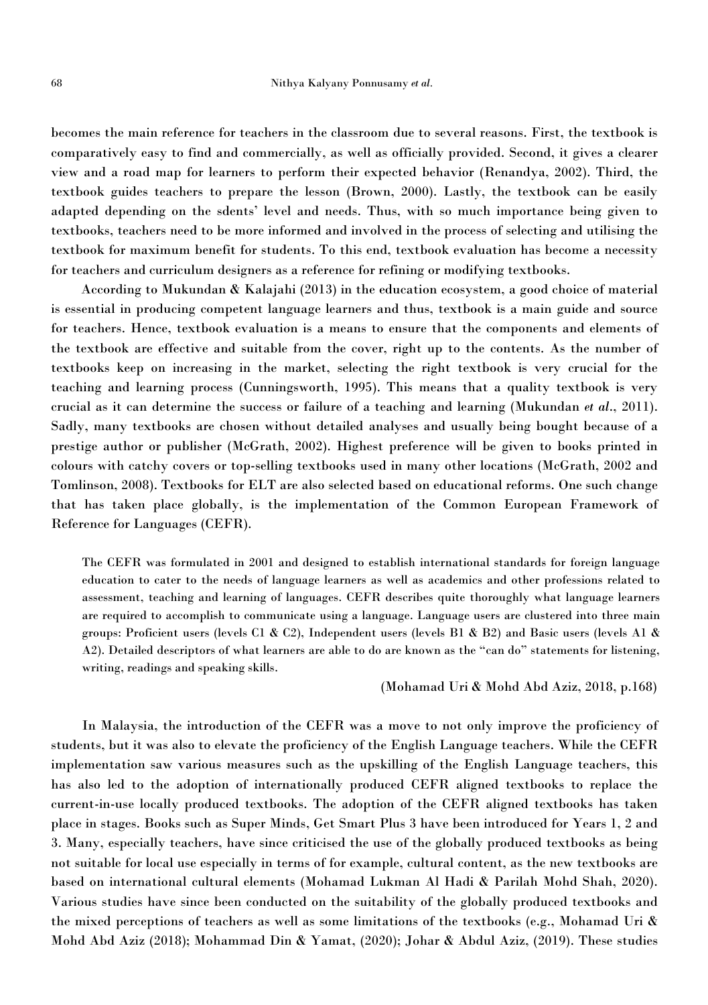becomes the main reference for teachers in the classroom due to several reasons. First, the textbook is comparatively easy to find and commercially, as wellas officially provided. Second, it gives a clearer view and a road map for learners to perform their expected behavior (Renandya, 2002). Third, the textbook guides teachers to prepare the lesson (Brown, 2000). Lastly, the textbook can be easily adapted depending on the sdents' level and needs. Thus, with so much importance being given to textbooks, teachers need to bemore informed and involved in the process of selecting and utilising the textbook for maximum benefit for students. To this end, textbook evaluation has become a necessity for teachers and curriculum designers as a reference for refining or modifying textbooks.

According to Mukundan & Kalajahi (2013) in the education ecosystem, a good choice of material is essential in producing competent language learners and thus, textbook is a main guide and source for teachers. Hence, textbook evaluation is a means to ensure that the components and elements of the textbook are effective and suitable from the cover, right up to the contents. As the number of textbooks keep on increasing in the market, selecting the right textbook is very crucial for the teaching and learning process (Cunningsworth, 1995). This means that a quality textbook is very crucial as it can determine the success or failure of a teaching and learning (Mukundan *et al*., 2011). Sadly, many textbooks are chosen without detailed analyses and usually being bought because of a prestige author or publisher (McGrath, 2002). Highest preference will be given to books printed in colours with catchy covers or top-selling textbooks used in many other locations (McGrath, 2002 and Tomlinson, 2008). Textbooks for ELT are also selected based on educational reforms. One such change that has taken place globally, is the implementation of the Common European Framework of Reference for Languages (CEFR).

The CEFR was formulated in 2001 and designed to establish international standards for foreign language education to cater to the needs of language learners as well as academics and other professions related to assessment, teaching and learning of languages. CEFR describes quite thoroughly what language learners are required to accomplish to communicate using a language. Language users are clustered into three main groups: Proficient users (levels C1 & C2), Independent users (levels B1 & B2) and Basic users (levels A1 & A2). Detailed descriptors of what learners are able to do are known as the "can do" statements for listening, writing, readings and speaking skills.

#### (Mohamad Uri & Mohd Abd Aziz, 2018, p.168)

In Malaysia, the introduction of the CEFR was a move to not only improve the proficiency of students, but it was also to elevate the proficiency of the English Language teachers. While the CEFR implementation saw various measures such as the upskilling of the English Language teachers, this has also led to the adoption of internationally produced CEFR aligned textbooks to replace the current-in-use locally produced textbooks. The adoption of the CEFR aligned textbooks has taken place in stages. Books such as Super Minds, Get Smart Plus 3 have been introduced for Years 1, 2 and 3. Many, especially teachers, have since criticised the use of the globally produced textbooks as being not suitable for local use especially in terms of for example, cultural content, as the new textbooks are based on international cultural elements (Mohamad Lukman Al Hadi & Parilah Mohd Shah, 2020). Various studies have since been conducted on the suitability of the globally produced textbooks and the mixed perceptions of teachers as wellas some limitations of the textbooks (e.g., Mohamad Uri & Mohd Abd Aziz (2018); Mohammad Din & Yamat, (2020); Johar & Abdul Aziz, (2019). These studies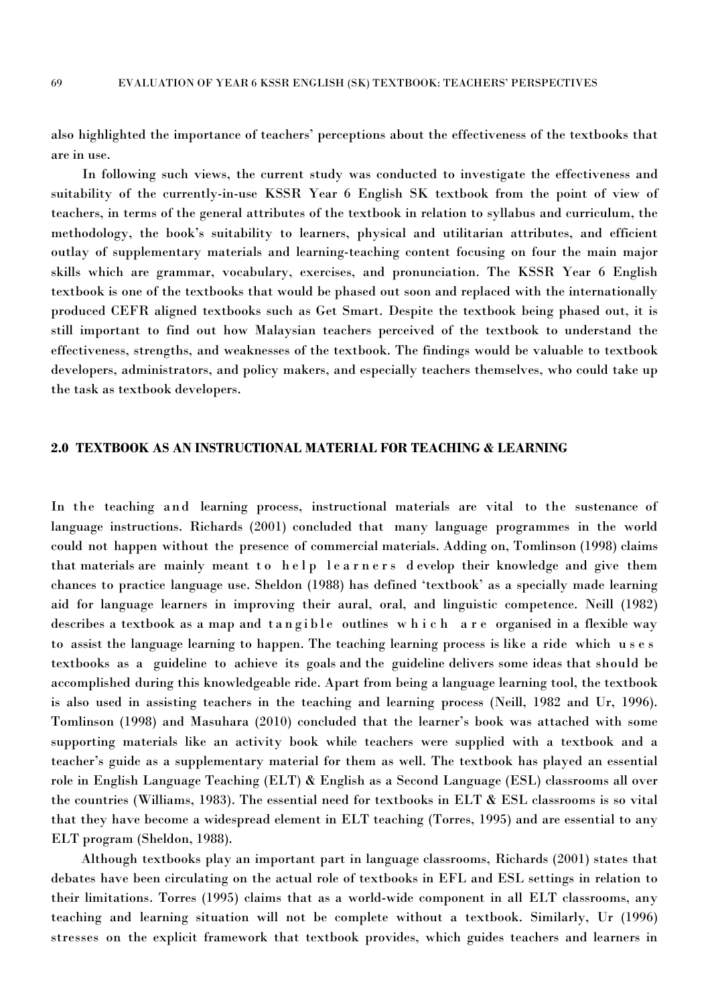also highlighted the importance of teachers' perceptions about the effectiveness of the textbooks that are in use.<br>In following such views, the current study was conducted to investigate the effectiveness and

suitability of the currently-in-use KSSR Year 6 English SK textbook from the point of view of teachers, in terms of the general attributes of the textbook in relation to syllabus and curriculum, the methodology, the book's suitability to learners, physical and utilitarian attributes, and efficient outlay of supplementary materials and learning-teaching content focusing on four the main major skills which are grammar, vocabulary, exercises, and pronunciation. The KSSR Year 6 English textbook is one of the textbooks that would be phased out soon and replaced with the internationally produced CEFR aligned textbooks such as Get Smart. Despite the textbook being phased out, it is still important to find out how Malaysian teachers perceived of the textbook to understand the effectiveness, strengths, and weaknesses of the textbook. The findings would be valuable to textbook developers, administrators, and policy makers, and especially teachers themselves, who could take up the task as textbook developers.

## **2.0 TEXTBOOK AS AN INSTRUCTIONAL MATERIAL FOR TEACHING & LEARNING**

In the teaching and learning process, instructional materials are vital to the sustenance of language instructions. Richards (2001) concluded that many language programmes in the world could not happen without the presence of commercial materials. Adding on, Tomlinson (1998) claims that materials are mainly meant to help learners develop their knowledge and give them chances to practice language use. Sheldon (1988) has defined 'textbook' as a specially made learning aid for language learners in improving their aural, oral, and linguistic competence. Neill (1982) describes a textbook as a map and tangible outlines which are organised in a flexible way to assist the language learning to happen. The teaching learning process is like a ride which u s es textbooks as a guideline to achieve its goals and the guideline delivers some ideas that should be accomplished during this knowledgeable ride. Apart from being a languagelearning tool, the textbook is also used in assisting teachers in the teaching and learning process (Neill, 1982 and Ur, 1996). Tomlinson (1998) and Masuhara (2010) concluded that the learner's book was attached with some supporting materials like an activity book while teachers were supplied with a textbook and a teacher's guide as a supplementary material for them as well. The textbook has played an essential role in English Language Teaching (ELT) & English as a Second Language (ESL) classrooms all over the countries (Williams, 1983). The essential need for textbooks in ELT & ESL classrooms is so vital that they have become a widespread element in ELT teaching (Torres, 1995) and are essential to any ELT program (Sheldon, 1988).

Although textbooks play an important part in language classrooms, Richards (2001) states that debates have been circulating on the actual role of textbooks in EFL and ESL settings in relation to their limitations. Torres (1995) claims that as a world-wide component in all ELT classrooms, any teaching and learning situation will not be complete without a textbook. Similarly, Ur (1996) stresses on the explicit framework that textbook provides, which guides teachers and learners in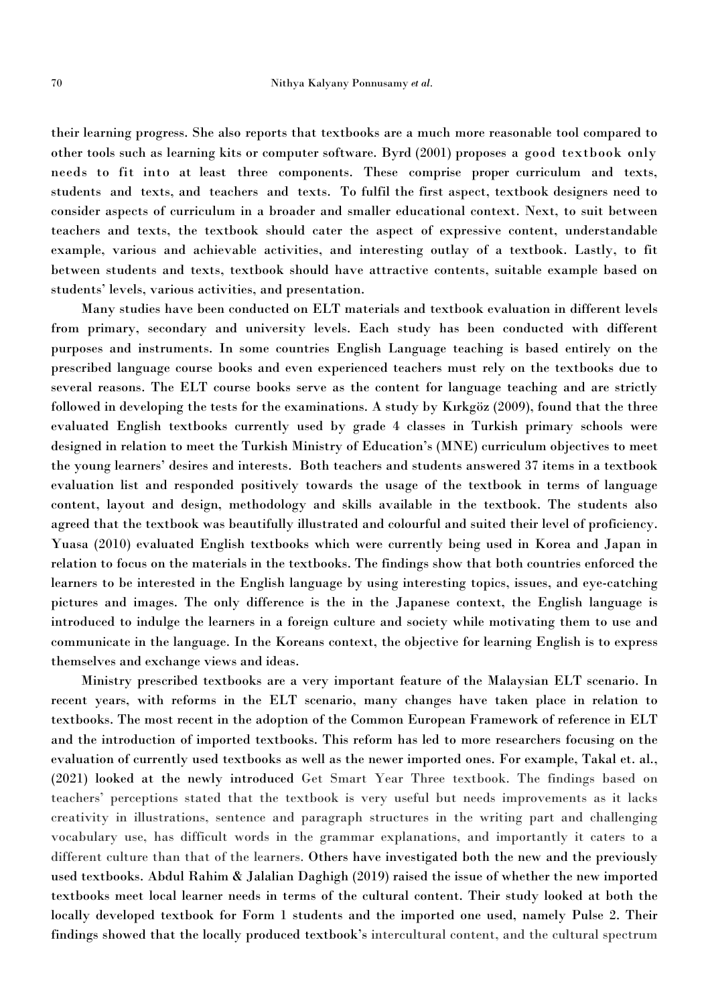their learning progress. She also reports that textbooks are a much morereasonable tool compared to other tools such as learning kits or computer software. Byrd (2001) proposes a good textbook only needs to fit into at least three components. These comprise proper curriculum and texts, students and texts, and teachers and texts. To fulfil the first aspect, textbook designers need to consider aspects of curriculum in a broader and smaller educational context. Next, to suit between teachers and texts, the textbook should cater the aspect of expressive content, understandable example, various and achievable activities, and interesting outlay of a textbook. Lastly, to fit between students and texts, textbook should have attractive contents, suitable example based on students' levels, various activities, and presentation.

Many studieshave been conducted on ELT materials and textbook evaluation in different levels from primary, secondary and university levels. Each study has been conducted with different purposes and instruments. In some countries English Language teaching is based entirely on the prescribed language course books and even experienced teachers must rely on the textbooks due to several reasons. The ELT course books serve as the content for language teaching and are strictly followed in developing the tests for the examinations. A study by Kırkgöz (2009), found that the three evaluated English textbooks currently used by grade 4 classes in Turkish primary schools were designed in relation to meet the Turkish Ministry of Education's (MNE) curriculum objectives to meet the young learners' desires and interests. Both teachers and students answered 37 items in a textbook evaluation list and responded positively towards the usage of the textbook in terms of language content, layout and design, methodology and skills available in the textbook. The students also agreed that the textbook was beautifully illustrated and colourful and suited their level of proficiency. Yuasa (2010) evaluated English textbooks which were currently being used in Korea and Japan in relation to focus on the materials in the textbooks. The findings show that both countries enforced the learners to be interested in the English language by using interesting topics, issues, and eye-catching pictures and images. The only difference is the in the Japanese context, the English language is introduced to indulge the learners in a foreign culture and society while motivating them to use and communicate in the language. In the Koreans context, the objective for learning English is to express themselves and exchange views and ideas.

Ministry prescribed textbooks are a very important feature of the Malaysian ELT scenario. In recent years, with reforms in the ELT scenario, many changes have taken place in relation to textbooks. The most recent in the adoption of the Common European Framework of reference in ELT and the introduction of imported textbooks. This reform has led to more researchers focusing on the evaluation of currently used textbooks as well as the newer imported ones. For example, Takal et. al., (2021) looked at the newly introduced Get Smart Year Three textbook. The findings based on teachers' perceptions stated that the textbook is very useful but needs improvements as it lacks creativity in illustrations, sentence and paragraph structures in the writing part and challenging vocabulary use, has difficult words in the grammar explanations, and importantly it caters to a different culture than that of the learners. Others have investigated both the new and the previously used textbooks. Abdul Rahim & Jalalian Daghigh (2019) raised the issue of whether the new imported textbooks meet local learner needs in terms of the cultural content. Their study looked at both the locally developed textbook for Form 1 students and the imported one used, namely Pulse 2. Their findings showed that the locally produced textbook's intercultural content, and the cultural spectrum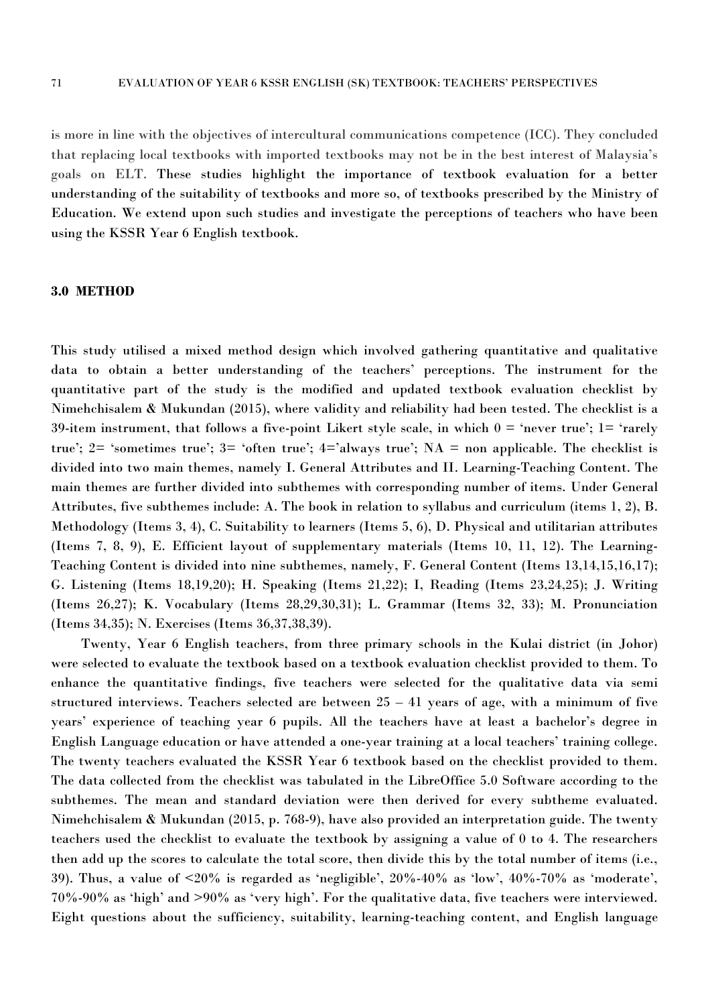is more in line with the objectives of intercultural communications competence (ICC). They concluded that replacing local textbooks with imported textbooks may not be in the best interest of Malaysia's goals on ELT. These studies highlight the importance of textbook evaluation for a better understanding of the suitability of textbooks and more so, of textbooks prescribed by the Ministry of Education. We extend upon such studies and investigate the perceptions of teachers who have been using the KSSR Year 6 English textbook.

#### **3.0 METHOD**

This study utilised a mixed method design which involved gathering quantitative and qualitative data to obtain a better understanding of the teachers' perceptions. The instrument for the quantitative part of the study is the modified and updated textbook evaluation checklist by Nimehchisalem & Mukundan (2015), where validity and reliability had been tested. The checklist is a 39-item instrument, that follows a five-point Likert style scale, in which  $0 =$  'never true';  $1 =$  'rarely true'; 2= 'sometimes true'; 3= 'often true'; 4='always true'; NA = non applicable. The checklist is divided into two main themes, namely I. General Attributes and II. Learning-Teaching Content. The main themes are further divided into subthemes with corresponding number of items. Under General Attributes, five subthemes include: A. The book in relation to syllabus and curriculum (items 1, 2), B. Methodology (Items 3, 4), C. Suitability to learners (Items 5, 6), D. Physical and utilitarian attributes (Items 7, 8, 9), E. Efficient layout of supplementary materials (Items 10, 11, 12). The Learning- Teaching Content is divided into nine subthemes, namely, F. General Content (Items 13,14,15,16,17); G. Listening (Items 18,19,20); H. Speaking (Items 21,22); I, Reading (Items 23,24,25); J. Writing (Items 26,27); K. Vocabulary (Items 28,29,30,31); L. Grammar (Items 32, 33); M. Pronunciation (Items 34,35); N. Exercises (Items 36,37,38,39).

Twenty, Year 6 English teachers, from three primary schools in the Kulai district (in Johor) were selected to evaluate the textbook based on a textbook evaluation checklist provided to them. To enhance the quantitative findings, five teachers were selected for the qualitative data via semi structured interviews. Teachers selected are between  $25 - 41$  years of age, with a minimum of five years' experience of teaching year 6 pupils. All the teachers have at least a bachelor's degree in English Language education or have attended aone-year training at a localteachers' training college. The twenty teachers evaluated the KSSR Year 6 textbook based on the checklist provided to them. The data collected from the checklist was tabulated in the LibreOffice 5.0 Software according to the subthemes. The mean and standard deviation were then derived for every subtheme evaluated. Nimehchisalem & Mukundan (2015, p. 768-9), have also provided an interpretation guide. The twenty teachers used the checklist to evaluate the textbook by assigning a value of 0 to 4. The researchers then add up the scores to calculate the total score, then divide this by the total number of items (i.e., 39). Thus, a value of  $\leq 20\%$  is regarded as 'negligible',  $20\% - 40\%$  as 'low',  $40\% - 70\%$  as 'moderate', 70%-90% as 'high' and >90% as 'very high'. For the qualitative data, five teachers were interviewed. Eight questions about the sufficiency, suitability, learning-teaching content, and English language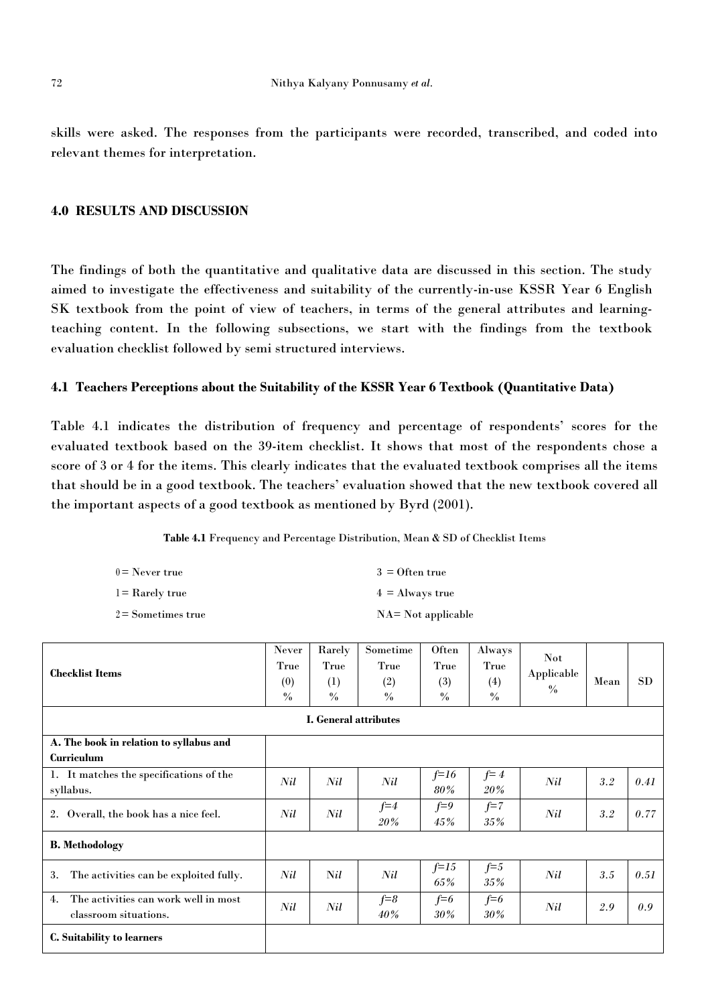skills were asked. The responses from the participants were recorded, transcribed, and coded into relevant themes for interpretation.

## **4.0 RESULTS AND DISCUSSION**

The findings of both the quantitative and qualitative data are discussed in this section. The study aimed to investigate the effectiveness and suitability of the currently-in-use KSSR Year 6 English SK textbook from the point of view of teachers, in terms of the general attributes and learningteaching content. In the following subsections, we start with the findings from the textbook evaluation checklist followed by semi structured interviews.

#### **4.1 Teachers Perceptions about the Suitability of the KSSR Year 6 Textbook (Quantitative Data)**

Table 4.1 indicates the distribution of frequency and percentage of respondents' scores for the evaluated textbook based on the 39-item checklist. It shows that most of the respondents chose a score of 3 or 4 for the items. This clearly indicates that the evaluated textbook comprises all the items that should be in a good textbook. The teachers' evaluation showed that the new textbook covered all the important aspects of a good textbook as mentioned by Byrd (2001).

**Table 4.1** Frequency and Percentage Distribution, Mean & SD of Checklist Items

| $0 =$ Never true     | $3 =$ Often true       |
|----------------------|------------------------|
| $l =$ Rarely true    | $4 \equiv$ Always true |
| $2 =$ Sometimes true | $NA = Not$ applicable  |

| <b>Checklist Items</b>                                              | Never<br>True<br>(0)<br>$\frac{0}{0}$ | Rarely<br>True<br>(1)<br>$\frac{0}{0}$ | Sometime<br>True<br>(2)<br>$\frac{0}{0}$ | Often<br>True<br>(3)<br>$\frac{0}{0}$ | Always<br>True<br>(4)<br>$\frac{0}{0}$ | <b>Not</b><br>Applicable<br>$\%$ | Mean | <b>SD</b> |
|---------------------------------------------------------------------|---------------------------------------|----------------------------------------|------------------------------------------|---------------------------------------|----------------------------------------|----------------------------------|------|-----------|
|                                                                     |                                       | I. General attributes                  |                                          |                                       |                                        |                                  |      |           |
| A. The book in relation to syllabus and<br>Curriculum               |                                       |                                        |                                          |                                       |                                        |                                  |      |           |
| 1. It matches the specifications of the<br>syllabus.                | Nil                                   | Nil                                    | Nil                                      | $f=16$<br>80%                         | $f = 4$<br>20%                         | Nil                              | 3.2  | 0.41      |
| Overall, the book has a nice feel.<br>2.                            | Nil                                   | Nil                                    | $f=4$<br>20%                             | $f=9$<br>45%                          | $f=7$<br>$35\%$                        | Nil                              | 3.2  | 0.77      |
| <b>B.</b> Methodology                                               |                                       |                                        |                                          |                                       |                                        |                                  |      |           |
| The activities can be exploited fully.<br>3.                        | Nil                                   | Nil                                    | Nil                                      | $f=15$<br>65%                         | $f = 5$<br>$35\%$                      | Nil                              | 3.5  | 0.51      |
| The activities can work well in most<br>4.<br>classroom situations. | Nil                                   | Nil                                    | $f = 8$<br>$40\%$                        | $f=6$<br>30%                          | $f=6$<br>$30\%$                        | Nil                              | 2.9  | 0.9       |
| C. Suitability to learners                                          |                                       |                                        |                                          |                                       |                                        |                                  |      |           |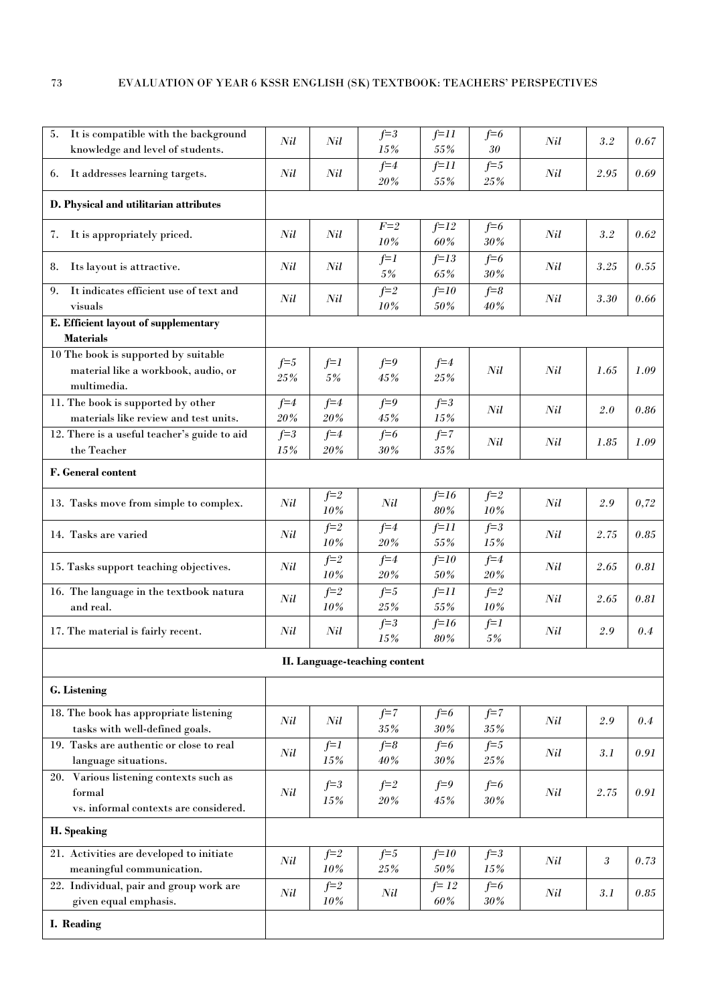| 5. It is compatible with the background                 | Nil     | Nil               | $f = 3$                       | $f=11$        | $f=6$               | Nil | 3.2     | 0.67 |
|---------------------------------------------------------|---------|-------------------|-------------------------------|---------------|---------------------|-----|---------|------|
| knowledge and level of students.                        |         |                   | 15%<br>$f=4$                  | 55%<br>$f=11$ | 30<br>$f=5$         |     |         |      |
| 6. It addresses learning targets.                       | Nil     | Nil               | 20%                           | 55%           | $25\,\%$            | Nil | 2.95    | 0.69 |
| D. Physical and utilitarian attributes                  |         |                   |                               |               |                     |     |         |      |
| 7. It is appropriately priced.                          | Nil     | Nil               | $F=2$                         | $f=12$        | $f=6$               | Nil | $3.2\,$ | 0.62 |
|                                                         |         |                   | 10%                           | 60%           | $30\,\%$            |     |         |      |
| 8. Its layout is attractive.                            | Nil     | Nil               | $f=1$                         | $f=13$        | $f=6$               | Nil | 3.25    | 0.55 |
|                                                         |         |                   | 5%                            | 65%           | $30\%$              |     |         |      |
| It indicates efficient use of text and<br>9.<br>visuals | Nil     | Nil               | $f = 2$<br>10%                | $f=10$<br>50% | $f = 8$<br>$40\,\%$ | Nil | 3.30    | 0.66 |
| E. Efficient layout of supplementary                    |         |                   |                               |               |                     |     |         |      |
| <b>Materials</b>                                        |         |                   |                               |               |                     |     |         |      |
| 10 The book is supported by suitable                    |         |                   |                               |               |                     |     |         |      |
| material like a workbook, audio, or                     | $f=5$   | $f=1$             | $f=9$                         | $f=4$         | Nil                 | Nil | 1.65    | 1.09 |
| multimedia.                                             | $25\%$  | 5%                | 45%                           | 25%           |                     |     |         |      |
| 11. The book is supported by other                      | $f=4$   | $f=4$             | $f=9$                         | $f = 3$       | Nil                 | Nil | 2.0     | 0.86 |
| materials like review and test units.                   | $20\%$  | $20\%$            | $45\%$                        | 15%           |                     |     |         |      |
| 12. There is a useful teacher's guide to aid            | $f = 3$ | $f=4$             | $f=6$                         | $f=7$         | Nil                 | Nil | 1.85    | 1.09 |
| the Teacher                                             | 15%     | 20%               | 30%                           | 35%           |                     |     |         |      |
| F. General content                                      |         |                   |                               |               |                     |     |         |      |
|                                                         |         | $f = 2$           |                               | $f=16$        | $f=2$               |     |         |      |
| 13. Tasks move from simple to complex.                  | Nil     | 10%               | Nil                           | $80\%$        | 10%                 | Nil | 2.9     | 0,72 |
| 14. Tasks are varied                                    | Nil     | $f=2$             | $f=4$                         | $f=11$        | $f=3$               | Nil | 2.75    | 0.85 |
|                                                         |         | 10%               | 20%                           | 55%           | 15%                 |     |         |      |
| 15. Tasks support teaching objectives.                  | Nil     | $f = 2$           | $f=4$                         | $f=10$        | $f=4$               | Nil | 2.65    | 0.81 |
|                                                         |         | 10%               | $20\%$                        | 50%           | $20\,\%$            |     |         |      |
| 16. The language in the textbook natura                 | Nil     | $f = 2$           | $f=5$                         | $f=11$        | $f=2$               | Nil | 2.65    | 0.81 |
| and real.                                               |         | 10%               | $25\%$                        | 55%           | 10%                 |     |         |      |
| 17. The material is fairly recent.                      | Nil     | Nil               | $f=3$<br>15%                  | $f=16$<br>80% | $f=1$<br>5%         | Nil | $2.9\,$ | 0.4  |
|                                                         |         |                   | II. Language-teaching content |               |                     |     |         |      |
| G. Listening                                            |         |                   |                               |               |                     |     |         |      |
| 18. The book has appropriate listening                  |         |                   | $f=7$                         | $f=6$         | $f=7$               |     |         |      |
| tasks with well-defined goals.                          | Nil     | Nil               | $35\%$                        | 30%           | $35\%$              | Nil | 2.9     | 0.4  |
| 19. Tasks are authentic or close to real                |         | $f=1$             | $f = 8$                       | $f=6$         | $f=5$               |     |         |      |
| language situations.                                    | Nil     | $15\%$            | 40%                           | $30\%$        | $25\,\%$            | Nil | 3.1     | 0.91 |
| 20. Various listening contexts such as                  |         |                   |                               |               |                     |     |         |      |
| formal                                                  | Nil     | $f = 3$<br>$15\%$ | $f=2$<br>$20\%$               | $f=9$<br>45%  | $f=6$<br>$30\%$     | Nil | 2.75    | 0.91 |
| vs. informal contexts are considered.                   |         |                   |                               |               |                     |     |         |      |
| H. Speaking                                             |         |                   |                               |               |                     |     |         |      |
| 21. Activities are developed to initiate                |         | $f=2$             | $f=5$                         | $f=10$        | $f=3$               |     |         |      |
| meaningful communication.                               | Nil     | $10\%$            | 25%                           | 50%           | 15%                 | Nil | 3       | 0.73 |
| 22. Individual, pair and group work are                 |         | $f=2$             |                               | $f=12$        | $f=6$               |     |         |      |
| given equal emphasis.                                   | Nil     | 10%               | Nil                           | 60%           | 30%                 | Nil | 3.1     | 0.85 |
| I. Reading                                              |         |                   |                               |               |                     |     |         |      |
|                                                         |         |                   |                               |               |                     |     |         |      |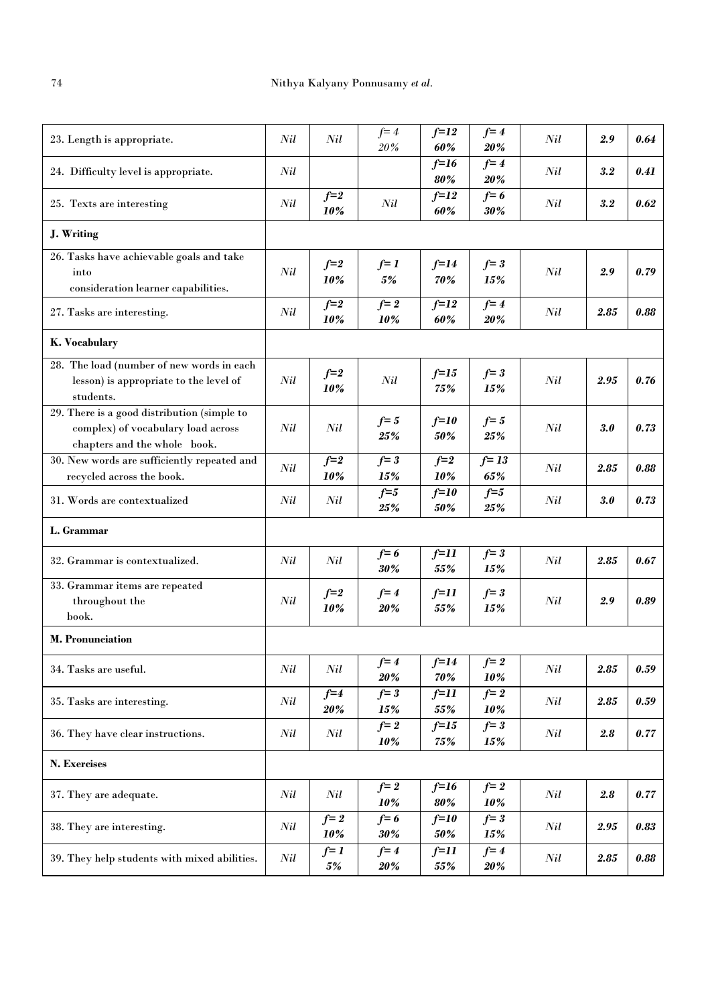| 23. Length is appropriate.                                                                                        | Nil | Nil             | $f = 4$<br>20%      | $f=12$<br>60%          | $f=4$<br>20%       | Nil | 2.9        | 0.64 |
|-------------------------------------------------------------------------------------------------------------------|-----|-----------------|---------------------|------------------------|--------------------|-----|------------|------|
| 24. Difficulty level is appropriate.                                                                              | Nil |                 |                     | $f=16$<br>80%          | $f=4$<br>20%       | Nil | 3.2        | 0.41 |
| 25. Texts are interesting                                                                                         | Nil | $f=2$<br>10%    | Nil                 | $f=12$<br>60%          | $f=6$<br>$30\%$    | Nil | 3.2        | 0.62 |
| J. Writing                                                                                                        |     |                 |                     |                        |                    |     |            |      |
| 26. Tasks have achievable goals and take<br>into<br>consideration learner capabilities.                           | Nil | $f=2$<br>10%    | $f=1$<br>5%         | $f=14$<br>70%          | $f = 3$<br>15%     | Nil | 2.9        | 0.79 |
| 27. Tasks are interesting.                                                                                        | Nil | $f=2$<br>10%    | $f = 2$<br>10%      | $f=12$<br>60%          | $f=4$<br>20%       | Nil | 2.85       | 0.88 |
| K. Vocabulary                                                                                                     |     |                 |                     |                        |                    |     |            |      |
| 28. The load (number of new words in each<br>lesson) is appropriate to the level of<br>students.                  | Nil | $f=2$<br>10%    | Nil                 | $f=15$<br>75%          | $f = 3$<br>15%     | Nil | 2.95       | 0.76 |
| 29. There is a good distribution (simple to<br>complex) of vocabulary load across<br>chapters and the whole book. | Nil | Nil             | $f=5$<br>$25\%$     | $f=10$<br>50%          | $f=5$<br>25%       | Nil | 3.0        | 0.73 |
| 30. New words are sufficiently repeated and<br>recycled across the book.                                          | Nil | $f=2$<br>$10\%$ | $f = 3$<br>15%      | $f=2$<br>10%           | $f = 13$<br>$65\%$ | Nil | 2.85       | 0.88 |
| 31. Words are contextualized                                                                                      | Nil | Nil             | $f=5$<br>$25\%$     | $f=10$<br>50%          | $f=5$<br>$25\%$    | Nil | 3.0        | 0.73 |
| L. Grammar                                                                                                        |     |                 |                     |                        |                    |     |            |      |
| 32. Grammar is contextualized.                                                                                    | Nil | Nil             | $f=6$<br>30%        | $f=11$<br>55%          | $f = 3$<br>15%     | Nil | 2.85       | 0.67 |
| 33. Grammar items are repeated<br>throughout the<br>book.                                                         | Nil | $f=2$<br>10%    | $f = 4$<br>20%      | f=11<br>55%            | $f = 3$<br>15%     | Nil | 2.9        | 0.89 |
| <b>M. Pronunciation</b>                                                                                           |     |                 |                     |                        |                    |     |            |      |
| 34. Tasks are useful.                                                                                             | Nil | Nil             | $f=4$<br>20%        | $f=14$<br>70%          | $f=2$<br>10%       | Nil | 2.85       | 0.59 |
| 35. Tasks are interesting.                                                                                        | Nil | $f=4$<br>20%    | $f = 3$<br>15%      | $f=11$<br>55%          | $f = 2$<br>10%     | Nil | 2.85       | 0.59 |
| 36. They have clear instructions.                                                                                 | Nil | Nil             | $f = 2$<br>10%      | $f=15$<br>75%          | $f = 3$<br>15%     | Nil | 2.8        | 0.77 |
| N. Exercises                                                                                                      |     |                 |                     |                        |                    |     |            |      |
| 37. They are adequate.                                                                                            | Nil | Nil             | $f=2$<br>10%        | $f=16$<br>$\pmb{80\%}$ | $f=2$<br>10%       | Nil | 2.8        | 0.77 |
| 38. They are interesting.                                                                                         | Nil | $f=2$<br>10%    | $f=6$<br>30%        | $f=10$<br>50%          | $f = 3$<br>15%     | Nil | 2.95       | 0.83 |
| 39. They help students with mixed abilities.                                                                      | Nil | $f=1$<br>5%     | $f=4$<br><b>20%</b> | $f=11$<br>55%          | $f=4$<br>20%       | Nil | $\bf 2.85$ | 0.88 |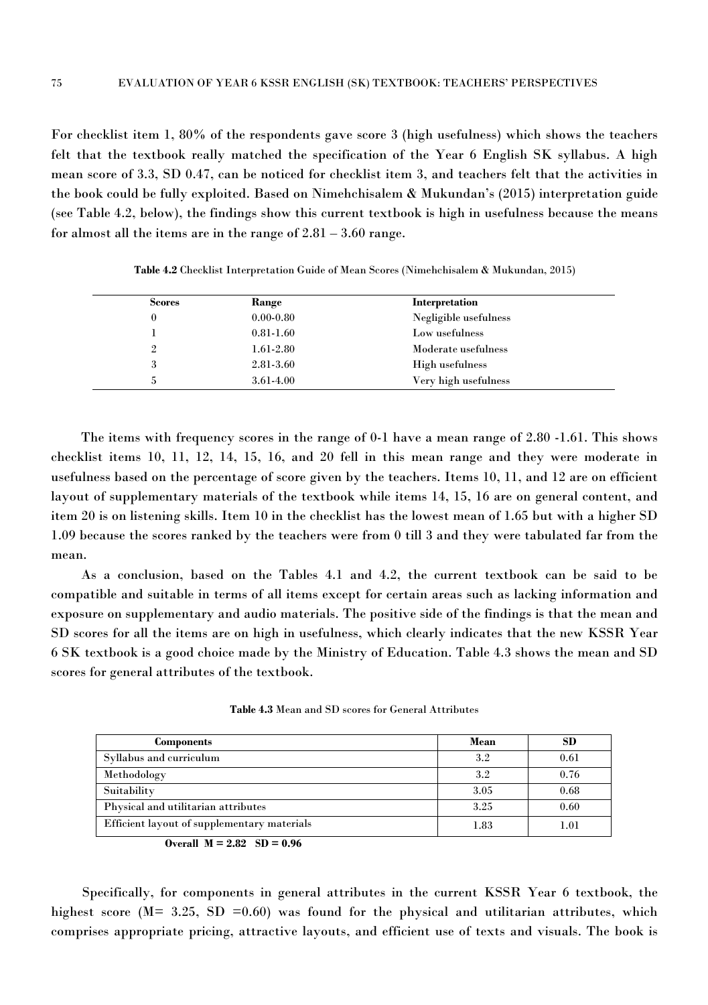For checklist item 1, 80% of the respondents gave score 3 (high usefulness) which shows the teachers felt that the textbook really matched the specification of the Year 6 English SK syllabus. A high mean score of 3.3, SD 0.47, can be noticed for checklist item 3, and teachers felt that the activities in the book could be fully exploited. Based on Nimehchisalem & Mukundan's (2015) interpretation guide (see Table 4.2, below), the findings show this current textbook is high in usefulness because the means for almost all the items are in the range of 2.81 – 3.60 range.

| <b>Scores</b>  | Range         | Interpretation        |
|----------------|---------------|-----------------------|
|                | $0.00 - 0.80$ | Negligible usefulness |
|                | $0.81 - 1.60$ | Low usefulness        |
| $\overline{2}$ | $1.61 - 2.80$ | Moderate usefulness   |
| 3              | 2.81-3.60     | High usefulness       |
| 5              | 3.61-4.00     | Very high usefulness  |

**Table 4.2** Checklist Interpretation Guide of Mean Scores (Nimehchisalem & Mukundan, 2015)

The items with frequency scores in the range of 0-1 have a mean range of 2.80 -1.61. This shows checklist items 10, 11, 12, 14, 15, 16, and 20 fell in this mean range and they were moderate in usefulness based on the percentage of score given by the teachers. Items 10, 11, and 12 are on efficient layout of supplementary materials of the textbook while items 14, 15, 16 are on general content, and item 20 is on listening skills. Item 10 in the checklist has the lowest mean of 1.65 but with a higher SD 1.09 because the scores ranked by the teachers were from 0 till 3 and they were tabulated far from the mean.<br>As a conclusion, based on the Tables 4.1 and 4.2, the current textbook can be said to be

compatible and suitable in terms of allitems except for certain areas such as lacking information and exposure on supplementary and audio materials. The positive side of the findings is that the mean and SD scores for all the items are on high in usefulness, which clearly indicates that the new KSSR Year 6 SK textbook is a good choice made by the Ministry of Education. Table 4.3 shows the mean and SD scores for general attributes of the textbook.

**Table 4.3** Mean and SD scores for General Attributes

| Components                                  | Mean    | SD   |
|---------------------------------------------|---------|------|
| Syllabus and curriculum                     | $3.2\,$ | 0.61 |
| Methodology                                 | $3.2\,$ | 0.76 |
| Suitability                                 | 3.05    | 0.68 |
| Physical and utilitarian attributes         | 3.25    | 0.60 |
| Efficient layout of supplementary materials | 1.83    | 1.01 |

**Overall**  $M = 2.82$   $SD = 0.96$ 

Specifically, for components in general attributes in the current KSSR Year 6 textbook, the highest score ( $M = 3.25$ , SD = 0.60) was found for the physical and utilitarian attributes, which comprises appropriate pricing, attractive layouts, and efficient use of texts and visuals. The book is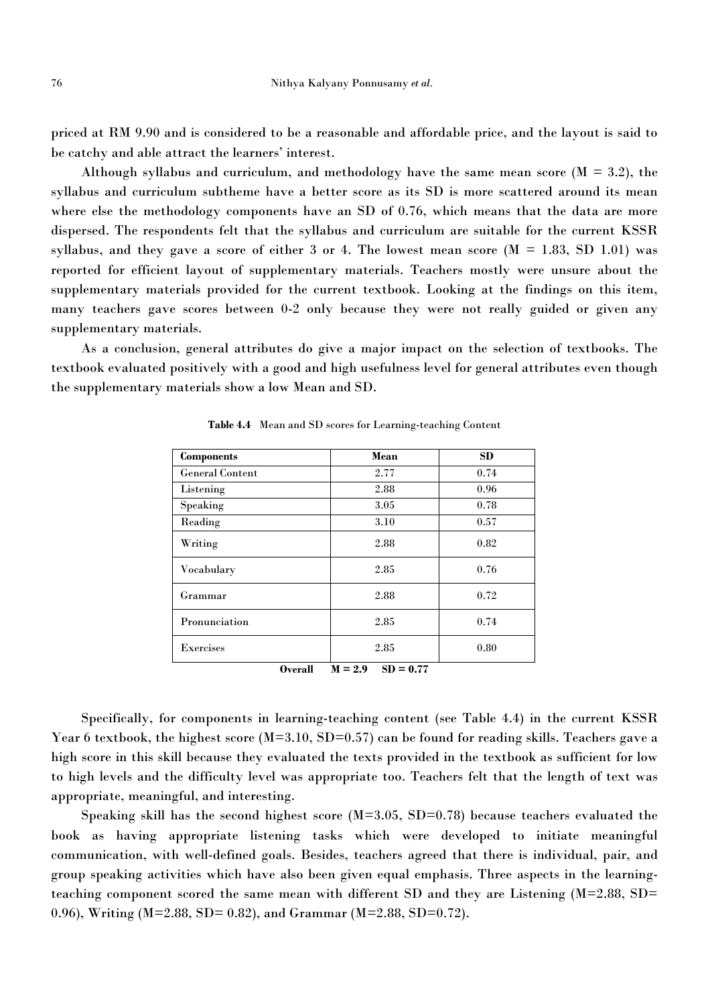priced at RM 9.90 and is considered to be a reasonable and affordable price, and the layout is said to be catchy and able attract the learners' interest.

Although syllabus and curriculum, and methodology have the same mean score  $(M = 3.2)$ , the syllabus and curriculum subtheme have a better score as its SD is more scattered around its mean where else the methodology components have an SD of 0.76, which means that the data are more dispersed. The respondents felt that the syllabus and curriculum are suitable for the current KSSR syllabus, and they gave a score of either 3 or 4. The lowest mean score  $(M = 1.83, SD 1.01)$  was reported for efficient layout of supplementary materials. Teachers mostly were unsure about the supplementary materials provided for the current textbook. Looking at the findings on this item, many teachers gave scores between 0-2 only because they were not really guided or given any supplementary materials.

As a conclusion, general attributes do give a major impact on the selection of textbooks. The textbook evaluated positively with a good and high usefulness level for general attributes even though the supplementary materials show a low Mean and SD.

| <b>Components</b>      | Mean                    | <b>SD</b> |
|------------------------|-------------------------|-----------|
| <b>General Content</b> | 2.77                    | 0.74      |
| Listening              | 2.88                    | 0.96      |
| Speaking               | 3.05                    | 0.78      |
| Reading                | 3.10                    | 0.57      |
| Writing                | 2.88                    | 0.82      |
| Vocabulary             | 2.85                    | 0.76      |
| Grammar                | 2.88                    | 0.72      |
| Pronunciation          | 2.85                    | 0.74      |
| Exercises              | 2.85                    | 0.80      |
| O <sub>var</sub> all   | $M = 9Q$<br>$SD = 0.77$ |           |

**Table 4.4** Mean and SD scores for Learning-teaching Content

**Overall M** = **2.9 SD** = **0.77** 

Specifically, for components in learning-teaching content (see Table 4.4) in the current KSSR Year 6 textbook, the highest score (M=3.10, SD=0.57) can be found for reading skills. Teachers gave a high score in this skill because they evaluated the texts provided in the textbook as sufficient for low to high levels and the difficulty level was appropriate too. Teachers felt that the length of text was appropriate, meaningful, and interesting.

Speaking skill has the second highest score  $(M=3.05, SD=0.78)$  because teachers evaluated the book as having appropriate listening tasks which were developed to initiate meaningful communication, with well-defined goals. Besides, teachers agreed that there is individual, pair, and group speaking activities which have also been given equal emphasis. Three aspects in the learningteaching component scored the same mean with different SD and they are Listening (M=2.88, SD= 0.96), Writing (M=2.88,SD= 0.82), and Grammar (M=2.88, SD=0.72).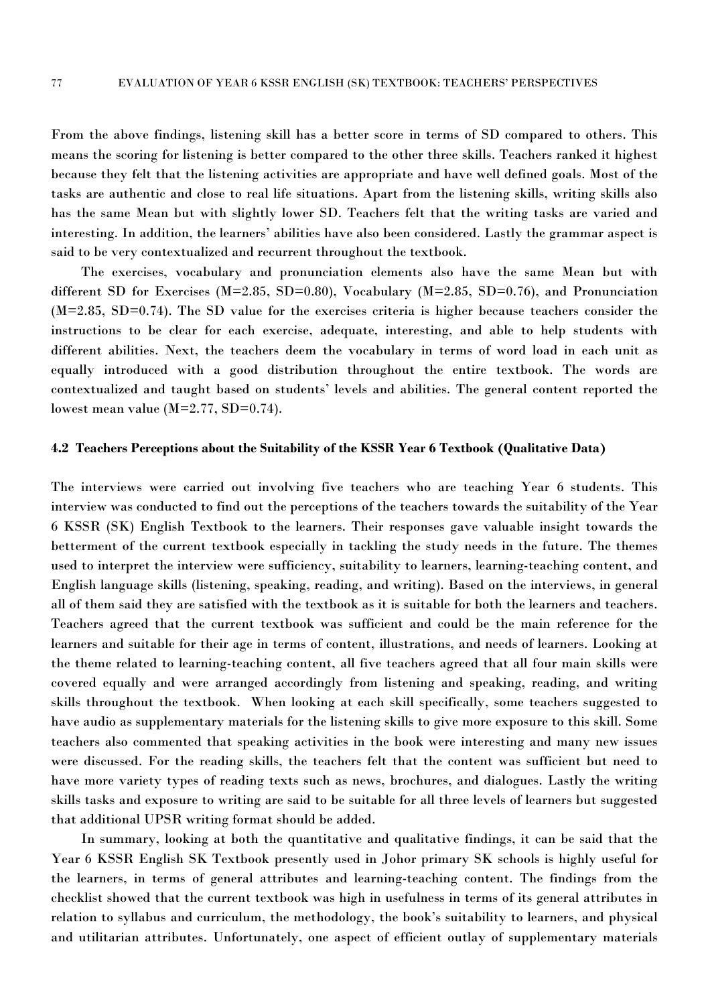From the above findings, listening skill has a better score in terms of SD compared to others. This means the scoring for listening is better compared to the other three skills. Teachers ranked it highest because they felt that the listening activities are appropriate and have well defined goals. Most of the tasks are authentic and close to real life situations. Apart from the listening skills, writing skills also has the same Mean but with slightly lower SD. Teachers felt that the writing tasks are varied and interesting. In addition, the learners' abilities have also been considered. Lastly the grammar aspect is said to be very contextualized and recurrent throughout the textbook.

The exercises, vocabulary and pronunciation elements also have the same Mean but with different SD for Exercises (M=2.85, SD=0.80), Vocabulary (M=2.85, SD=0.76), and Pronunciation (M=2.85, SD=0.74). The SD value for the exercises criteria is higher because teachers consider the instructions to be clear for each exercise, adequate, interesting, and able to help students with different abilities. Next, the teachers deem the vocabulary in terms of word load in each unit as equally introduced with agood distribution throughout the entire textbook. The words are contextualized and taught based on students' levels and abilities. The general content reported the lowest mean value (M=2.77, SD=0.74).

#### **4.2 Teachers Perceptions about the Suitability of the KSSR Year 6 Textbook (Qualitative Data)**

The interviews were carried out involving five teachers who are teaching Year 6 students. This interview was conducted to find out the perceptions of the teachers towards the suitability of the Year 6 KSSR (SK) English Textbook to the learners. Their responses gave valuable insight towards the betterment of the current textbook especially in tackling the study needs in the future. The themes used to interpret the interview were sufficiency, suitability to learners, learning-teaching content, and English language skills (listening, speaking, reading, and writing). Based on the interviews, in general all of them said they are satisfied with the textbook as it issuitable for both the learners and teachers. Teachers agreed that the current textbook was sufficient and could be the main reference for the learners and suitable for their age in terms of content, illustrations, and needs of learners. Looking at the theme related to learning-teaching content, all five teachers agreed that all four main skills were covered equally and were arranged accordingly from listening and speaking, reading, and writing skills throughout the textbook. When looking at each skill specifically, some teachers suggested to have audio as supplementary materials for the listening skills to give more exposure to this skill. Some teachers also commented that speaking activities in the book were interesting and many new issues were discussed. For the reading skills, the teachers felt that the content was sufficient but need to have more variety types of reading texts such as news, brochures, and dialogues. Lastly the writing skills tasks and exposure to writing are said to be suitable for all three levels of learners but suggested that additional UPSR writing format should be added.

In summary, looking at both the quantitative and qualitative findings, it can be said that the Year 6 KSSR English SK Textbook presently used in Johor primary SK schools is highly useful for the learners, in terms ofgeneral attributes and learning-teaching content. The findings from the checklist showed that the current textbook was high in usefulness in terms of its general attributes in relation to syllabus and curriculum, the methodology, the book's suitability to learners, and physical and utilitarian attributes. Unfortunately, one aspect of efficient outlay of supplementary materials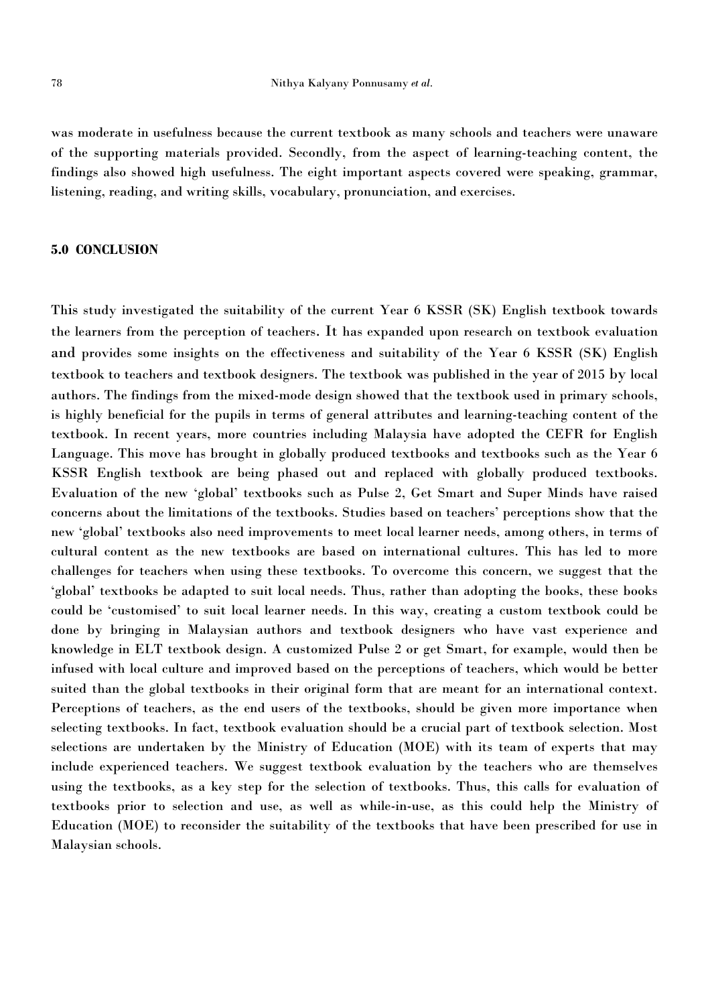was moderate in usefulness because the current textbook as many schools and teachers were unaware of the supporting materials provided. Secondly, from the aspect of learning-teaching content, the findings also showed high usefulness. The eight important aspects covered were speaking, grammar, listening, reading, and writing skills, vocabulary, pronunciation, and exercises.

## **5.0 CONCLUSION**

This study investigated the suitability of the current Year 6 KSSR (SK) English textbook towards the learners from the perception of teachers. It has expanded upon research on textbook evaluation and provides some insights on the effectiveness and suitability of the Year 6 KSSR (SK) English textbook to teachers and textbook designers. The textbook was published in the year of 2015 by local authors. The findings from the mixed-mode design showed that the textbook used in primary schools, is highly beneficial for the pupils in terms of general attributes and learning-teaching content of the textbook. In recent years, more countries including Malaysia have adopted the CEFR for English Language. This move has brought in globally produced textbooks and textbooks such as the Year 6 KSSR English textbook are being phased out and replaced with globally produced textbooks. Evaluation of the new 'global' textbooks such as Pulse 2, Get Smart and Super Minds have raised concerns about the limitations of the textbooks. Studies based on teachers' perceptions show that the new 'global' textbooks also need improvements to meet local learner needs, among others, in terms of cultural content as the new textbooks are based on international cultures. This has led to more challenges for teachers when using these textbooks. To overcome this concern, we suggest that the 'global' textbooks be adapted to suit local needs. Thus, rather than adopting the books, these books could be 'customised' to suit local learner needs. In this way, creating a custom textbook could be done by bringing in Malaysian authors and textbook designers who have vast experience and knowledge in ELT textbook design. A customized Pulse 2 or get Smart, for example, would then be infused with local culture and improved based on the perceptions of teachers, which would be better suited than the global textbooks in their original form that are meant for an international context. Perceptions of teachers, as the end users of the textbooks, should be given more importance when selecting textbooks. In fact, textbook evaluation should be a crucial part of textbook selection. Most selections are undertaken by the Ministry of Education (MOE) with its team of experts that may include experienced teachers. We suggest textbook evaluation by the teachers who are themselves using the textbooks, as a key step for the selection of textbooks. Thus, this calls for evaluation of textbooks prior to selection and use, as well as while-in-use, as this could help the Ministry of Education (MOE) to reconsider the suitability of the textbooks that have been prescribed for use in Malaysian schools.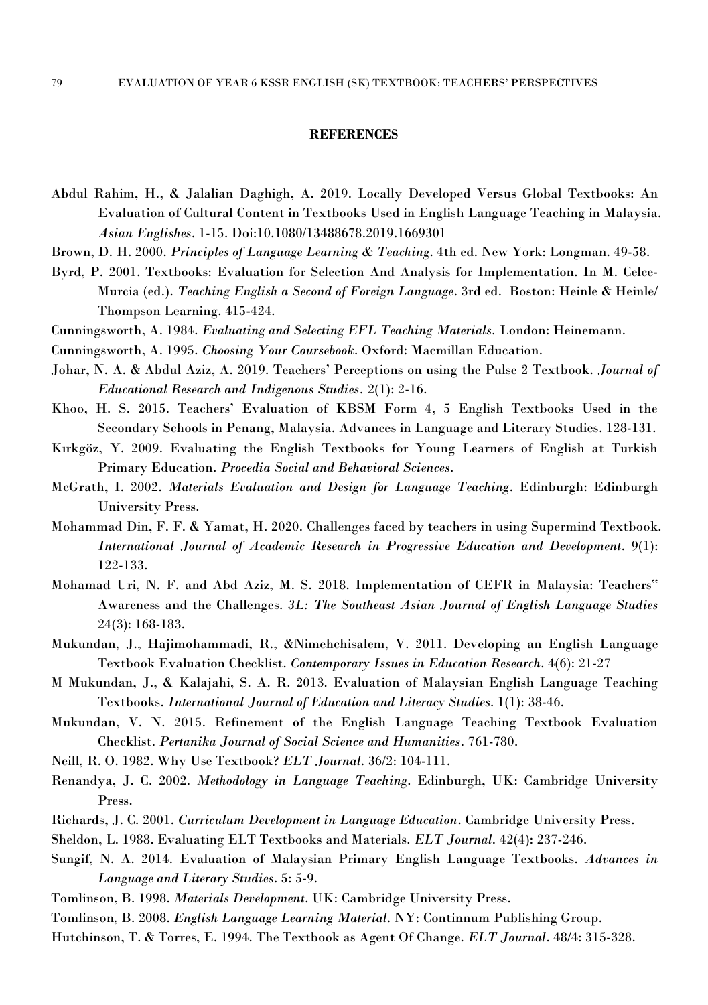#### **REFERENCES**

- Abdul Rahim, H., & Jalalian Daghigh, A. 2019. Locally Developed Versus Global Textbooks: An Evaluation of Cultural Content in Textbooks Used in English Language Teaching in Malaysia. *Asian Englishes*. 1-15. Doi:10.1080/13488678.2019.1669301
- Brown, D. H. 2000. *Principles ofLanguage Learning & Teaching*. 4th ed. New York: Longman. 49-58.
- Byrd, P. 2001. Textbooks: Evaluation for Selection And Analysis for Implementation. In M. Celce- Murcia (ed.). *Teaching English a Second of Foreign Language*. 3rd ed. Boston: Heinle & Heinle/ Thompson Learning. 415-424.
- Cunningsworth, A. 1984. *Evaluating and Selecting EFL Teaching Materials.* London: Heinemann.
- Cunningsworth, A. 1995. *Choosing Your Coursebook*. Oxford: Macmillan Education.
- Johar, N. A. & Abdul Aziz, A. 2019. Teachers' Perceptions on using the Pulse 2 Textbook. *Journal of Educational Research and Indigenous Studies.* 2(1): 2-16.
- Khoo, H. S. 2015. Teachers' Evaluation of KBSM Form 4, 5 English Textbooks Used in the Secondary Schools in Penang, Malaysia. Advances in Language and Literary Studies. 128-131.
- Kırkgöz, Y. 2009. Evaluating the English Textbooks for Young Learners of English at Turkish Primary Education. *Procedia Social and Behavioral Sciences*.
- McGrath, I. 2002. *Materials Evaluation and Design for Language Teaching*. Edinburgh: Edinburgh University Press.
- Mohammad Din, F. F. & Yamat, H. 2020. Challenges faced by teachers in using Supermind Textbook. *International Journal of Academic Research in Progressive Education and Development*. 9(1): 122-133.
- Mohamad Uri, N. F. and Abd Aziz, M. S. 2018. Implementation of CEFR in Malaysia: Teachers" Awareness and the Challenges. *3L: The Southeast Asian Journal of English Language Studies* 24(3): 168-183.
- Mukundan, J., Hajimohammadi, R., &Nimehchisalem, V. 2011. Developing an English Language Textbook Evaluation Checklist. *Contemporary Issues in Education Research*. 4(6): 21-27
- M Mukundan, J., & Kalajahi, S. A. R.2013. Evaluation of Malaysian English Language Teaching Textbooks. *International Journal of Education and Literacy Studies*. 1(1): 38-46.
- Mukundan, V. N. 2015. Refinement of the English Language Teaching Textbook Evaluation Checklist. *Pertanika Journal of Social Science and Humanities*. 761-780.
- Neill, R. O. 1982. Why Use Textbook? *ELT Journal*. 36/2: 104-111.
- Renandya, J. C. 2002. *Methodology in Language Teaching*. Edinburgh, UK: Cambridge University Press.
- Richards, J. C. 2001. *Curriculum Development in Language Education*. Cambridge University Press.
- Sheldon, L. 1988. Evaluating ELT Textbooks and Materials. *ELT Journal*. 42(4): 237-246.
- Sungif, N. A. 2014. Evaluation of Malaysian Primary English Language Textbooks. *Advances in Language and Literary Studies*. 5: 5-9.
- Tomlinson, B. 1998. *Materials Development*. UK: Cambridge University Press.
- Tomlinson, B. 2008. *English Language Learning Material*. NY: Continnum Publishing Group.
- Hutchinson, T. & Torres, E. 1994. The Textbook as Agent Of Change. *ELT Journal*. 48/4: 315-328.